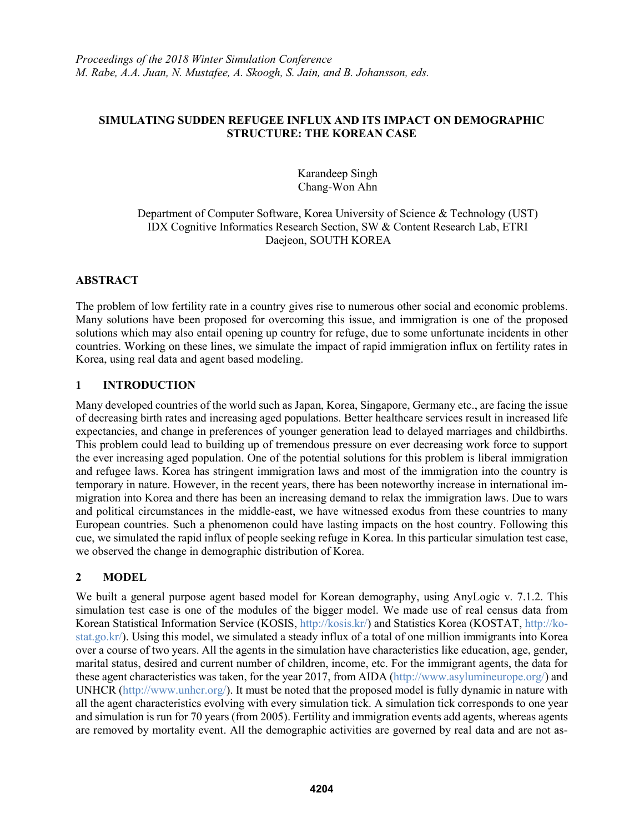#### **SIMULATING SUDDEN REFUGEE INFLUX AND ITS IMPACT ON DEMOGRAPHIC STRUCTURE: THE KOREAN CASE**

Karandeep Singh Chang-Won Ahn

#### Department of Computer Software, Korea University of Science & Technology (UST) IDX Cognitive Informatics Research Section, SW & Content Research Lab, ETRI Daejeon, SOUTH KOREA

# **ABSTRACT**

The problem of low fertility rate in a country gives rise to numerous other social and economic problems. Many solutions have been proposed for overcoming this issue, and immigration is one of the proposed solutions which may also entail opening up country for refuge, due to some unfortunate incidents in other countries. Working on these lines, we simulate the impact of rapid immigration influx on fertility rates in Korea, using real data and agent based modeling.

# **1 INTRODUCTION**

Many developed countries of the world such as Japan, Korea, Singapore, Germany etc., are facing the issue of decreasing birth rates and increasing aged populations. Better healthcare services result in increased life expectancies, and change in preferences of younger generation lead to delayed marriages and childbirths. This problem could lead to building up of tremendous pressure on ever decreasing work force to support the ever increasing aged population. One of the potential solutions for this problem is liberal immigration and refugee laws. Korea has stringent immigration laws and most of the immigration into the country is temporary in nature. However, in the recent years, there has been noteworthy increase in international immigration into Korea and there has been an increasing demand to relax the immigration laws. Due to wars and political circumstances in the middle-east, we have witnessed exodus from these countries to many European countries. Such a phenomenon could have lasting impacts on the host country. Following this cue, we simulated the rapid influx of people seeking refuge in Korea. In this particular simulation test case, we observed the change in demographic distribution of Korea.

# **2 MODEL**

We built a general purpose agent based model for Korean demography, using AnyLogic v. 7.1.2. This simulation test case is one of the modules of the bigger model. We made use of real census data from Korean Statistical Information Service (KOSIS, http://kosis.kr/) and Statistics Korea (KOSTAT, http://kostat.go.kr/). Using this model, we simulated a steady influx of a total of one million immigrants into Korea over a course of two years. All the agents in the simulation have characteristics like education, age, gender, marital status, desired and current number of children, income, etc. For the immigrant agents, the data for these agent characteristics was taken, for the year 2017, from AIDA (http://www.asylumineurope.org/) and UNHCR (http://www.unhcr.org/). It must be noted that the proposed model is fully dynamic in nature with all the agent characteristics evolving with every simulation tick. A simulation tick corresponds to one year and simulation is run for 70 years (from 2005). Fertility and immigration events add agents, whereas agents are removed by mortality event. All the demographic activities are governed by real data and are not as-